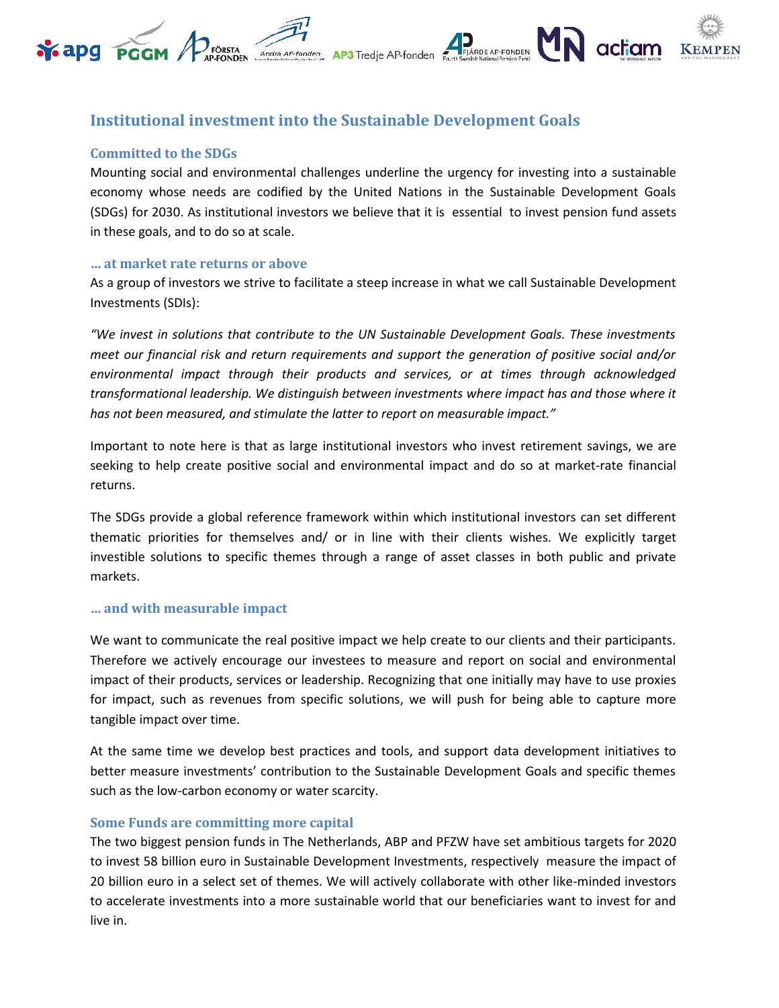#### FJÄRDE AP-FONDEN actiam **Y** apq PGGM FÖRSTA EN Andre AP-fonden **AP3** Tredje AP-fonden

# **Institutional investment into the Sustainable Development Goals**

# **Committed to the SDGs**

Mounting social and environmental challenges underline the urgency for investing into a sustainable economy whose needs are codified by the United Nations in the Sustainable Development Goals (SDGs) for 2030. As institutional investors we believe that it is essential to invest pension fund assets in these goals, and to do so at scale.

### **… at market rate returns or above**

As a group of investors we strive to facilitate a steep increase in what we call Sustainable Development Investments (SDIs):

*"We invest in solutions that contribute to the UN Sustainable Development Goals. These investments meet our financial risk and return requirements and support the generation of positive social and/or environmental impact through their products and services, or at times through acknowledged transformational leadership. We distinguish between investments where impact has and those where it has not been measured, and stimulate the latter to report on measurable impact."*

Important to note here is that as large institutional investors who invest retirement savings, we are seeking to help create positive social and environmental impact and do so at market-rate financial returns.

The SDGs provide a global reference framework within which institutional investors can set different thematic priorities for themselves and/ or in line with their clients wishes. We explicitly target investible solutions to specific themes through a range of asset classes in both public and private markets.

# **… and with measurable impact**

We want to communicate the real positive impact we help create to our clients and their participants. Therefore we actively encourage our investees to measure and report on social and environmental impact of their products, services or leadership. Recognizing that one initially may have to use proxies for impact, such as revenues from specific solutions, we will push for being able to capture more tangible impact over time.

At the same time we develop best practices and tools, and support data development initiatives to better measure investments' contribution to the Sustainable Development Goals and specific themes such as the low-carbon economy or water scarcity.

# **Some Funds are committing more capital**

The two biggest pension funds in The Netherlands, ABP and PFZW have set ambitious targets for 2020 to invest 58 billion euro in Sustainable Development Investments, respectively measure the impact of 20 billion euro in a select set of themes. We will actively collaborate with other like-minded investors to accelerate investments into a more sustainable world that our beneficiaries want to invest for and live in.